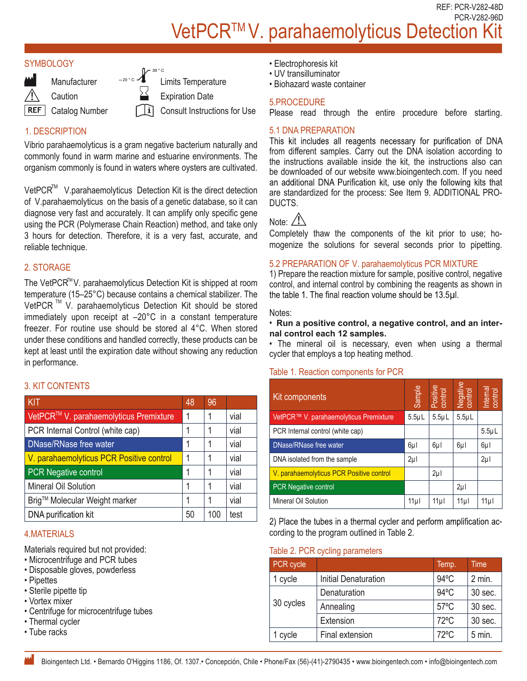REF: PCR-V282-48D PCR-V282-96D VetPCR™V. parahaemolyticus Detection I

## **SYMBOLOGY**



**Manufacturer** 

**Caution** 

**REF** Catalog Number

 $\int_{0}^{\frac{30}{300}c}$  Limits Temperature

Expiration Date

Consult Instructions for Use

## 1. DESCRIPTION

Vibrio parahaemolyticus is a gram negative bacterium naturally and commonly found in warm marine and estuarine environments. The organism commonly is found in waters where oysters are cultivated.

VetPCR<sup>™</sup> V.parahaemolyticus Detection Kit is the direct detection of V.parahaemolyticus on the basis of a genetic database, so it can diagnose very fast and accurately. It can amplify only specific gene using the PCR (Polymerase Chain Reaction) method, and take only 3 hours for detection. Therefore, it is a very fast, accurate, and reliable technique.

## 2. STORAGE

The VetPCR™V. parahaemolyticus Detection Kit is shipped at room temperature (15–25°C) because contains a chemical stabilizer. The VetPCR<sup>™</sup> V. parahaemolyticus Detection Kit should be stored immediately upon receipt at –20°C in a constant temperature freezer. For routine use should be stored al 4°C. When stored under these conditions and handled correctly, these products can be kept at least until the expiration date without showing any reduction in performance.

## 3. KIT CONTENTS

| KIT                                      | 48 | 96  |      |
|------------------------------------------|----|-----|------|
| VetPCR™ V. parahaemolyticus Premixture   | 1  | 1   | vial |
| PCR Internal Control (white cap)         | 1  |     | vial |
| DNase/RNase free water                   | 1  |     | vial |
| V. parahaemolyticus PCR Positive control | 1  |     | vial |
| <b>PCR Negative control</b>              | 1  |     | vial |
| Mineral Oil Solution                     | 1  |     | vial |
| Brig™ Molecular Weight marker            | 1  |     | vial |
| DNA purification kit                     | 50 | 100 | test |

## 4.MATERIALS

Materials required but not provided:

- Microcentrifuge and PCR tubes
- Disposable gloves, powderless
- Pipettes
- Sterile pipette tip
- Vortex mixer
- Centrifuge for microcentrifuge tubes
- Thermal cycler
- Tube racks
- Electrophoresis kit
- UV transilluminator
- Biohazard waste container

## 5.PROCEDURE

Please read through the entire procedure before starting.

5.1 DNA PREPARATION<br>This kit includes all reagents necessary for purification of DNA from different samples. Carry out the DNA isolation according to the instructions available inside the kit, the instructions also can be downloaded of our website www.bioingentech.com. If you need an additional DNA Purification kit, use only the following kits that are standardized for the process: See Item 9. ADDITIONAL PRO-DUCTS.

# Note: / !

Completely thaw the components of the kit prior to use; homogenize the solutions for several seconds prior to pipetting.

## 5.2 PREPARATION OF V. parahaemolyticus PCR MIXTURE

1) Prepare the reaction mixture for sample, positive control, negative control, and internal control by combining the reagents as shown in the table 1. The final reaction volume should be 13.5µl.

#### Notes:

#### • **Run a positive control, a negative control, and an internal control each 12 samples.**

• The mineral oil is necessary, even when using a thermal cycler that employs a top heating method.

## Table 1. Reaction components for PCR

| <b>T CONTENTS</b>                                              |              |     |      |                                          |                                                                                                                     |             |                     |                     |        |
|----------------------------------------------------------------|--------------|-----|------|------------------------------------------|---------------------------------------------------------------------------------------------------------------------|-------------|---------------------|---------------------|--------|
|                                                                | 48           | 96  |      | Kit components                           |                                                                                                                     | Sample      | Positive<br>control | Negative<br>control |        |
| PCR™ V. parahaemolyticus Premixture                            | 1            |     | vial | VetPCR™ V. parahaemolyticus Premixture   |                                                                                                                     | $5.5 \mu L$ | $5.5 \mu L$         | $5.5\mu L$          |        |
| R Internal Control (white cap)                                 |              |     | vial | PCR Internal control (white cap)         |                                                                                                                     |             |                     |                     |        |
| ase/RNase free water                                           | 1            |     | vial | DNase/RNase free water                   |                                                                                                                     | $6\mu$      | $6\mu$              | $6\mu$              | $6\mu$ |
| arahaemolyticus PCR Positive control                           | $\mathbf{1}$ |     | vial | DNA isolated from the sample             |                                                                                                                     | $2\mu$      |                     |                     | $2\mu$ |
| R Negative control                                             | 1            |     | vial | V. parahaemolyticus PCR Positive control |                                                                                                                     |             | $2\mu$              |                     |        |
| eral Oil Solution                                              | 1            |     | vial | PCR Negative control                     |                                                                                                                     |             |                     | $2\mu$              |        |
| ™ Molecular Weight marker                                      |              |     | vial | <b>Mineral Oil Solution</b>              |                                                                                                                     | 11µ         | 11µ                 | 11µ                 | 11µl   |
|                                                                |              |     |      |                                          |                                                                                                                     |             |                     |                     |        |
| A purification kit                                             | 50           | 100 | test |                                          |                                                                                                                     |             |                     |                     |        |
| <b>TERIALS</b>                                                 |              |     |      |                                          | 2) Place the tubes in a thermal cycler and perform amplification ac-<br>cording to the program outlined in Table 2. |             |                     |                     |        |
| rials required but not provided:<br>rocentrifuge and PCR tubes |              |     |      |                                          | Table 2. PCR cycling parameters                                                                                     |             |                     |                     |        |
|                                                                |              |     |      | PCR cycle<br>1 cycle                     | <b>Initial Denaturation</b>                                                                                         |             | Temp.<br>94°C       | Time<br>2 min.      |        |
| posable gloves, powderless<br>ettes<br>rile pipette tip        |              |     |      |                                          | Denaturation                                                                                                        |             | 94°C                | 30 sec.             |        |
| tex mixer                                                      |              |     |      | 30 cycles                                | Annealing                                                                                                           |             | 57°C                | 30 sec.             |        |
| trifuge for microcentrifuge tubes<br>mal cycler                |              |     |      |                                          | Extension                                                                                                           |             | 72°C                | 30 sec.             |        |

## Table 2. PCR cycling parameters

| PCR cycle |                             | Temp.          | <b>Time</b> |
|-----------|-----------------------------|----------------|-------------|
| 1 cycle   | <b>Initial Denaturation</b> | $94^{\circ}$ C | 2 min.      |
|           | Denaturation                | $94^{\circ}$ C | 30 sec.     |
| 30 cycles | Annealing                   | $57^{\circ}$ C | 30 sec.     |
|           | Extension                   | $72^{\circ}$ C | 30 sec.     |
| 1 cycle   | Final extension             | $72^{\circ}$ C | 5 min.      |